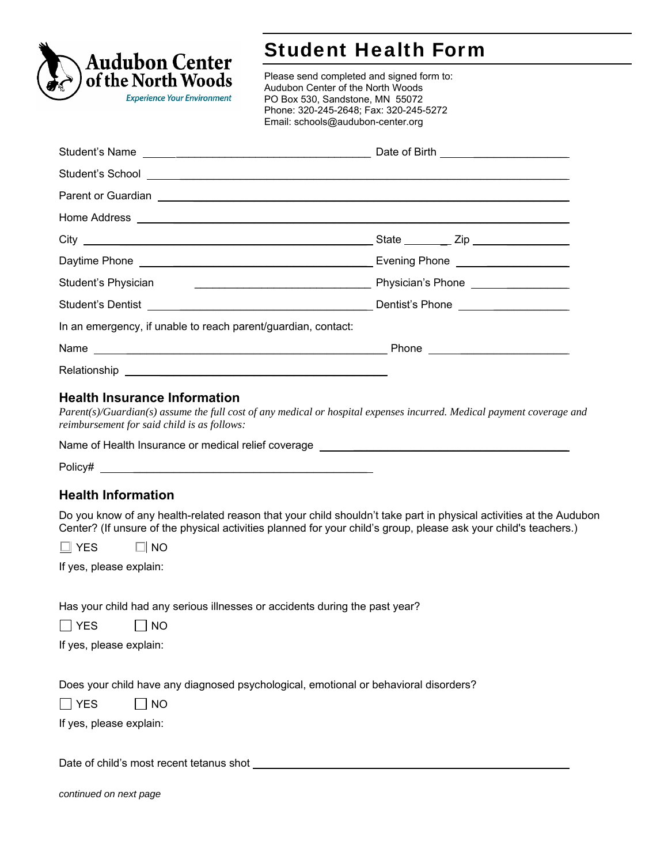

## Student Health Form

Please send completed and signed form to: Audubon Center of the North Woods PO Box 530, Sandstone, MN 55072 Phone: 320-245-2648; Fax: 320-245-5272 Email: schools@audubon-center.org

|                                                                                                                                                                                                                                     | Date of Birth ________________________ |  |  |
|-------------------------------------------------------------------------------------------------------------------------------------------------------------------------------------------------------------------------------------|----------------------------------------|--|--|
|                                                                                                                                                                                                                                     |                                        |  |  |
| Parent or Guardian <b>Construction Construction</b> Construction Construction Construction Construction Construction Construction Construction Construction Construction Construction Construction Construction Construction Constr |                                        |  |  |
|                                                                                                                                                                                                                                     |                                        |  |  |
|                                                                                                                                                                                                                                     |                                        |  |  |
|                                                                                                                                                                                                                                     |                                        |  |  |
|                                                                                                                                                                                                                                     |                                        |  |  |
| Student's Dentist                      Dentist's Phone                                                                                                                                                                              |                                        |  |  |
| In an emergency, if unable to reach parent/guardian, contact:                                                                                                                                                                       |                                        |  |  |
|                                                                                                                                                                                                                                     |                                        |  |  |
|                                                                                                                                                                                                                                     |                                        |  |  |
|                                                                                                                                                                                                                                     |                                        |  |  |

## **Health Insurance Information**

*Parent(s)/Guardian(s) assume the full cost of any medical or hospital expenses incurred. Medical payment coverage and reimbursement for said child is as follows:* 

Name of Health Insurance or medical relief coverage

| Policy# |  |  |
|---------|--|--|
|         |  |  |

## **Health Information**

Do you know of any health-related reason that your child shouldn't take part in physical activities at the Audubon Center? (If unsure of the physical activities planned for your child's group, please ask your child's teachers.)

 $\Box$  YES  $\Box$  NO

If yes, please explain:

Has your child had any serious illnesses or accidents during the past year?

| <b>VEC</b> | NO. |
|------------|-----|
|------------|-----|

If yes, please explain:

Does your child have any diagnosed psychological, emotional or behavioral disorders?

 $\Box$  YES  $\Box$  NO

If yes, please explain:

Date of child's most recent tetanus shot

*continued on next page*